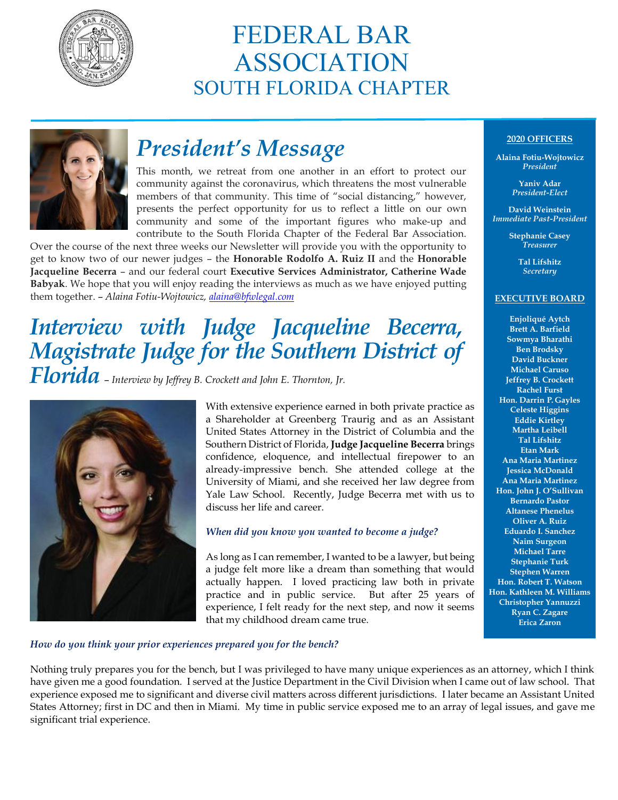

## FEDERAL BAR ASSOCIATION SOUTH FLORIDA CHAPTER



## *President's Message*

This month, we retreat from one another in an effort to protect our community against the coronavirus, which threatens the most vulnerable members of that community. This time of "social distancing," however, presents the perfect opportunity for us to reflect a little on our own community and some of the important figures who make-up and contribute to the South Florida Chapter of the Federal Bar Association.

Over the course of the next three weeks our Newsletter will provide you with the opportunity to get to know two of our newer judges – the **Honorable Rodolfo A. Ruiz II** and the **Honorable Jacqueline Becerra** – and our federal court **Executive Services Administrator, Catherine Wade Babyak**. We hope that you will enjoy reading the interviews as much as we have enjoyed putting them together. – *Alaina Fotiu-Wojtowicz, [alaina@bfwlegal.com](mailto:alaina@bfwlegal.com)*

## *Interview with Judge Jacqueline Becerra, Magistrate Judge for the Southern District of Florida* – *Interview by Jeffrey B. Crockett and John E. Thornton, Jr.*



With extensive experience earned in both private practice as a Shareholder at Greenberg Traurig and as an Assistant United States Attorney in the District of Columbia and the Southern District of Florida, **Judge Jacqueline Becerra** brings confidence, eloquence, and intellectual firepower to an already-impressive bench. She attended college at the University of Miami, and she received her law degree from Yale Law School. Recently, Judge Becerra met with us to discuss her life and career.

### *When did you know you wanted to become a judge?*

As long as I can remember, I wanted to be a lawyer, but being a judge felt more like a dream than something that would actually happen. I loved practicing law both in private practice and in public service. But after 25 years of experience, I felt ready for the next step, and now it seems that my childhood dream came true.

### **2020 OFFICERS**

**Alaina Fotiu-Wojtowicz** *President*

> **Yaniv Adar** *President-Elect*

**David Weinstein** *Immediate Past-President*

> **Stephanie Casey** *Treasurer*

> > **Tal Lifshitz** *Secretary*

#### **EXECUTIVE BOARD**

**Enjoliqué Aytch Brett A. Barfield Sowmya Bharathi Ben Brodsky David Buckner Michael Caruso Jeffrey B. Crockett Rachel Furst Hon. Darrin P. Gayles Celeste Higgins Eddie Kirtley Martha Leibell Tal Lifshitz Etan Mark Ana Maria Martinez Jessica McDonald Ana Maria Martinez Hon. John J. O'Sullivan Bernardo Pastor Altanese Phenelus Oliver A. Ruiz Eduardo I. Sanchez Naim Surgeon Michael Tarre Stephanie Turk Stephen Warren Hon. Robert T. Watson Hon. Kathleen M. Williams Christopher Yannuzzi Ryan C. Zagare Erica Zaron**

### *How do you think your prior experiences prepared you for the bench?*

Nothing truly prepares you for the bench, but I was privileged to have many unique experiences as an attorney, which I think have given me a good foundation. I served at the Justice Department in the Civil Division when I came out of law school. That experience exposed me to significant and diverse civil matters across different jurisdictions. I later became an Assistant United States Attorney; first in DC and then in Miami. My time in public service exposed me to an array of legal issues, and gave me significant trial experience.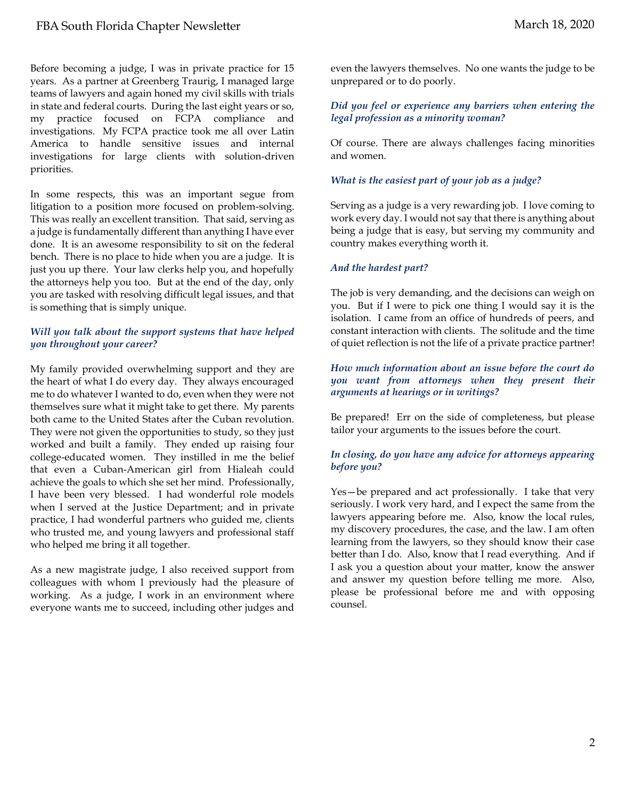Before becoming a judge, I was in private practice for 15 years. As a partner at Greenberg Traurig, I managed large teams of lawyers and again honed my civil skills with trials in state and federal courts. During the last eight years or so, my practice focused on FCPA compliance and investigations. My FCPA practice took me all over Latin America to handle sensitive issues and internal investigations for large clients with solution-driven priorities.

In some respects, this was an important segue from litigation to a position more focused on problem-solving. This was really an excellent transition. That said, serving as a judge is fundamentally different than anything I have ever done. It is an awesome responsibility to sit on the federal bench. There is no place to hide when you are a judge. It is just you up there. Your law clerks help you, and hopefully the attorneys help you too. But at the end of the day, only you are tasked with resolving difficult legal issues, and that is something that is simply unique.

#### *Will you talk about the support systems that have helped you throughout your career?*

My family provided overwhelming support and they are the heart of what I do every day. They always encouraged me to do whatever I wanted to do, even when they were not themselves sure what it might take to get there. My parents both came to the United States after the Cuban revolution. They were not given the opportunities to study, so they just worked and built a family. They ended up raising four college-educated women. They instilled in me the belief that even a Cuban-American girl from Hialeah could achieve the goals to which she set her mind. Professionally, I have been very blessed. I had wonderful role models when I served at the Justice Department; and in private practice, I had wonderful partners who guided me, clients who trusted me, and young lawyers and professional staff who helped me bring it all together.

As a new magistrate judge, I also received support from colleagues with whom I previously had the pleasure of working. As a judge, I work in an environment where everyone wants me to succeed, including other judges and

even the lawyers themselves. No one wants the judge to be unprepared or to do poorly.

#### *Did you feel or experience any barriers when entering the legal profession as a minority woman?*

Of course. There are always challenges facing minorities and women.

#### *What is the easiest part of your job as a judge?*

Serving as a judge is a very rewarding job. I love coming to work every day. I would not say that there is anything about being a judge that is easy, but serving my community and country makes everything worth it.

#### *And the hardest part?*

The job is very demanding, and the decisions can weigh on you. But if I were to pick one thing I would say it is the isolation. I came from an office of hundreds of peers, and constant interaction with clients. The solitude and the time of quiet reflection is not the life of a private practice partner!

#### *How much information about an issue before the court do you want from attorneys when they present their arguments at hearings or in writings?*

Be prepared! Err on the side of completeness, but please tailor your arguments to the issues before the court.

#### *In closing, do you have any advice for attorneys appearing before you?*

Yes—be prepared and act professionally. I take that very seriously. I work very hard, and I expect the same from the lawyers appearing before me. Also, know the local rules, my discovery procedures, the case, and the law. I am often learning from the lawyers, so they should know their case better than I do. Also, know that I read everything. And if I ask you a question about your matter, know the answer and answer my question before telling me more. Also, please be professional before me and with opposing counsel.